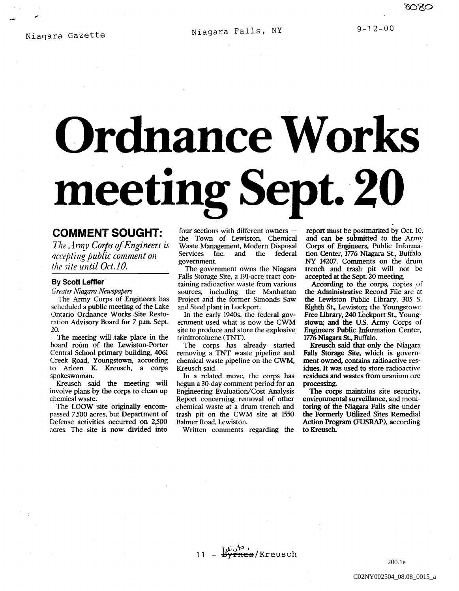ಯನಂ

## **Ordnance Works meeting** Sept. 20

## **COMMENT SOUGHT:**

*The Army Corps of Engineers is f/ccepting public comment on the site until Oct. 10.* 

## **By Scott Leffler**

*Creater Niagara Newspapers* 

The Army· Corps of Engineers has scheduled a public meeting of the Lake Ontario Ordnance Works Site Restoration Advisory Board for 7 p.m. Sept. 20.

The meeting will take place in the board room of the Lewiston-Porter Central School primary building, 4061 Creek Road, Youngstown, according to Arleen K Kreusch. a corps spokeswoman.

Kreusch said the meeting will involve plans by the corps to clean up chemical waste.

The LOOW site originally encompassed 7,500 acres. but Department of Defense activities occurred on 2,500 acres. The site is now divided into

four sections with different owners the Town of Lewiston. Chemical Waste Management, Modern Disposal<br>Services Inc. and the federal Services Inc. and the federal government.

The government owns the Niagara Falls Storage Site. a 191-acre tract containing radioactive waste from various sources. including the Manhattan Project and the former Simonds Saw and Steel plant in Lockport.

In the early 1940s. the federal government used what is now the CWM site to produce and store the explosive trinitrotoluene (TNT).

The corps has already started removing a TNT waste pipeline and chemical waste pipeline on the CWM, Kreusch said.

In a related move. the corps has begun a 30-day comment period for an Engineering Evaluation/Cost Analysis Report concerning removal of other chemical waste at a drum trench and trash pit on the CWM site at 1550 Balmer Road. Lewiston.

Written comments regarding the

report must be postmarked by Oct. 10, and can be submitted to the Army Corps of Engineers. Public Information Center, 1776 Niagara St., Buffalo, NY 14207. Comments on the drum trench and trash pit will not be accepted at the Sept. 20 meeting.

According to the corps, copies of the Administrative Record File are at the Lewiston Public Library. 305 S. Eighth St., Lewiston; the Youngstown Free Library, 240 Lockport St., Youngstown; and the U.S. Army Corps of Engineers Public Information Center, 1776 Niagara St, Buffalo.

Kreusch said that only the Niagara Falls Storage Site, which is government owned, contains radioactive residues. It was used to store radioactive residues and wastes from uranium ore processing.

The corps maintains site security. environmental surveillance, and monitoring of the Niagara Falls site under the Formerly Utilized Sites Remedial Action Program (FUSRAP). according to Kreusch.

 $\mathbf{u}^{\mathbf{b}}$  ,  $\mathbf{t}^{\mathbf{a}}$ <del>nes</del>/Kreusch  $11 -$